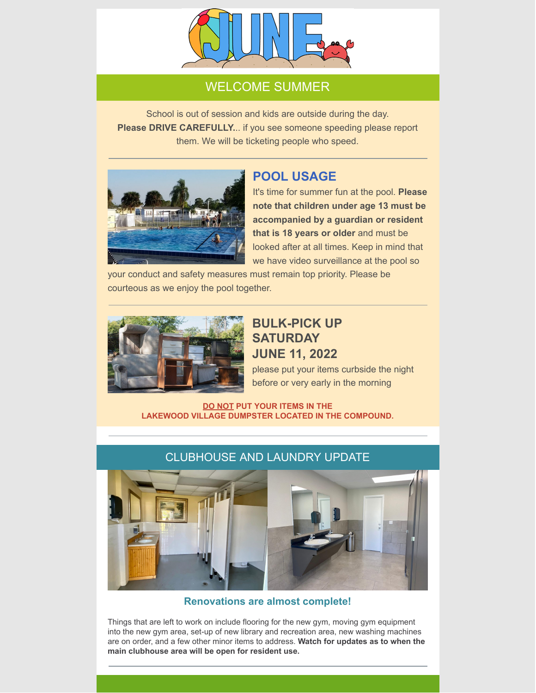

## WELCOME SUMMER

School is out of session and kids are outside during the day. **Please DRIVE CAREFULLY.**.. if you see someone speeding please report them. We will be ticketing people who speed.



## **POOL USAGE**

It's time for summer fun at the pool. **Please note that children under age 13 must be accompanied by a guardian or resident that is 18 years or older** and must be looked after at all times. Keep in mind that we have video surveillance at the pool so

your conduct and safety measures must remain top priority. Please be courteous as we enjoy the pool together.



# **BULK-PICK UP SATURDAY JUNE 11, 2022**

please put your items curbside the night before or very early in the morning

**DO NOT PUT YOUR ITEMS IN THE LAKEWOOD VILLAGE DUMPSTER LOCATED IN THE COMPOUND.**



### CLUBHOUSE AND LAUNDRY UPDATE

**Renovations are almost complete!**

Things that are left to work on include flooring for the new gym, moving gym equipment into the new gym area, set-up of new library and recreation area, new washing machines are on order, and a few other minor items to address. **Watch for updates as to when the main clubhouse area will be open for resident use.**